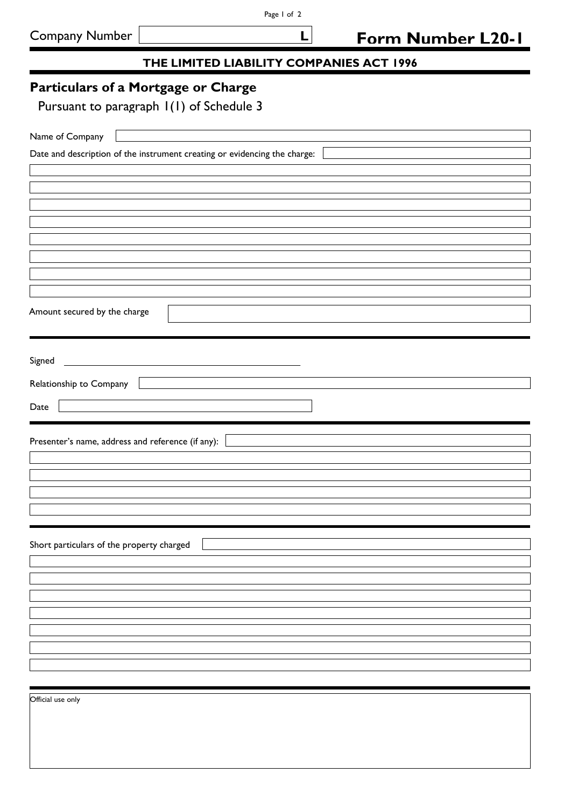## **THE LIMITED LIABILITY COMPANIES ACT 1996**

 **L**

## **Particulars of a Mortgage or Charge**

Pursuant to paragraph 1(1) of Schedule 3

| Name of Company                                                                  |
|----------------------------------------------------------------------------------|
| Date and description of the instrument creating or evidencing the charge:        |
|                                                                                  |
|                                                                                  |
|                                                                                  |
|                                                                                  |
|                                                                                  |
|                                                                                  |
|                                                                                  |
|                                                                                  |
| Amount secured by the charge                                                     |
|                                                                                  |
|                                                                                  |
| Signed                                                                           |
| Relationship to Company<br><u> 1989 - Johann Stein, fransk politik (d. 1989)</u> |
| Date                                                                             |
|                                                                                  |
|                                                                                  |
| Presenter's name, address and reference (if any):                                |
|                                                                                  |
|                                                                                  |
|                                                                                  |
|                                                                                  |
|                                                                                  |
| Short particulars of the property charged                                        |
|                                                                                  |
|                                                                                  |
|                                                                                  |
|                                                                                  |
|                                                                                  |
|                                                                                  |
|                                                                                  |
|                                                                                  |
| Official use only                                                                |